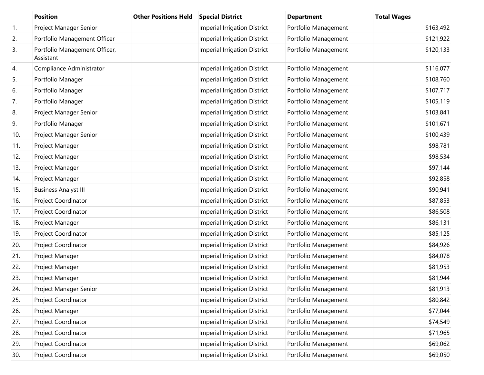|     | <b>Position</b>                            | <b>Other Positions Held</b> | <b>Special District</b>             | <b>Department</b>    | <b>Total Wages</b> |
|-----|--------------------------------------------|-----------------------------|-------------------------------------|----------------------|--------------------|
| 1.  | Project Manager Senior                     |                             | <b>Imperial Irrigation District</b> | Portfolio Management | \$163,492          |
| 2.  | Portfolio Management Officer               |                             | <b>Imperial Irrigation District</b> | Portfolio Management | \$121,922          |
| 3.  | Portfolio Management Officer,<br>Assistant |                             | <b>Imperial Irrigation District</b> | Portfolio Management | \$120,133          |
| 4.  | Compliance Administrator                   |                             | <b>Imperial Irrigation District</b> | Portfolio Management | \$116,077          |
| 5.  | Portfolio Manager                          |                             | <b>Imperial Irrigation District</b> | Portfolio Management | \$108,760          |
| 6.  | Portfolio Manager                          |                             | <b>Imperial Irrigation District</b> | Portfolio Management | \$107,717          |
| 7.  | Portfolio Manager                          |                             | <b>Imperial Irrigation District</b> | Portfolio Management | \$105,119          |
| 8.  | Project Manager Senior                     |                             | <b>Imperial Irrigation District</b> | Portfolio Management | \$103,841          |
| 9.  | Portfolio Manager                          |                             | <b>Imperial Irrigation District</b> | Portfolio Management | \$101,671          |
| 10. | Project Manager Senior                     |                             | <b>Imperial Irrigation District</b> | Portfolio Management | \$100,439          |
| 11. | Project Manager                            |                             | <b>Imperial Irrigation District</b> | Portfolio Management | \$98,781           |
| 12. | Project Manager                            |                             | <b>Imperial Irrigation District</b> | Portfolio Management | \$98,534           |
| 13. | Project Manager                            |                             | <b>Imperial Irrigation District</b> | Portfolio Management | \$97,144           |
| 14. | Project Manager                            |                             | <b>Imperial Irrigation District</b> | Portfolio Management | \$92,858           |
| 15. | <b>Business Analyst III</b>                |                             | <b>Imperial Irrigation District</b> | Portfolio Management | \$90,941           |
| 16. | Project Coordinator                        |                             | <b>Imperial Irrigation District</b> | Portfolio Management | \$87,853           |
| 17. | Project Coordinator                        |                             | <b>Imperial Irrigation District</b> | Portfolio Management | \$86,508           |
| 18. | Project Manager                            |                             | <b>Imperial Irrigation District</b> | Portfolio Management | \$86,131           |
| 19. | Project Coordinator                        |                             | <b>Imperial Irrigation District</b> | Portfolio Management | \$85,125           |
| 20. | Project Coordinator                        |                             | <b>Imperial Irrigation District</b> | Portfolio Management | \$84,926           |
| 21. | Project Manager                            |                             | <b>Imperial Irrigation District</b> | Portfolio Management | \$84,078           |
| 22. | Project Manager                            |                             | <b>Imperial Irrigation District</b> | Portfolio Management | \$81,953           |
| 23. | Project Manager                            |                             | <b>Imperial Irrigation District</b> | Portfolio Management | \$81,944           |
| 24. | Project Manager Senior                     |                             | <b>Imperial Irrigation District</b> | Portfolio Management | \$81,913           |
| 25. | Project Coordinator                        |                             | <b>Imperial Irrigation District</b> | Portfolio Management | \$80,842           |
| 26. | Project Manager                            |                             | <b>Imperial Irrigation District</b> | Portfolio Management | \$77,044           |
| 27. | Project Coordinator                        |                             | <b>Imperial Irrigation District</b> | Portfolio Management | \$74,549           |
| 28. | Project Coordinator                        |                             | <b>Imperial Irrigation District</b> | Portfolio Management | \$71,965           |
| 29. | Project Coordinator                        |                             | <b>Imperial Irrigation District</b> | Portfolio Management | \$69,062           |
| 30. | Project Coordinator                        |                             | <b>Imperial Irrigation District</b> | Portfolio Management | \$69,050           |